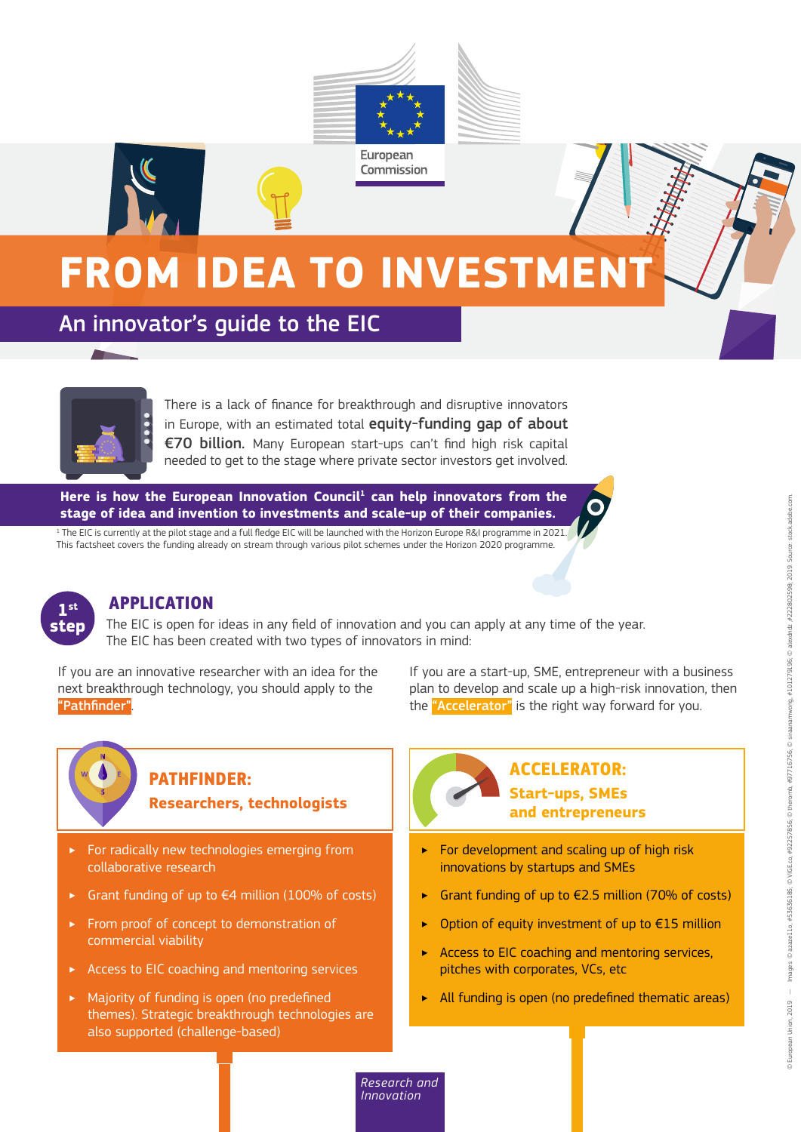

# **FROM IDEA TO INVESTMENT**

An innovator's guide to the EIC



There is a lack of finance for breakthrough and disruptive innovators in Europe, with an estimated total equity-funding gap of about €70 billion. Many European start-ups can't find high risk capital needed to get to the stage where private sector investors get involved.

Here is how the European Innovation Council<sup>1</sup> can help innovators from the **stage of idea and invention to investments and scale-up of their companies.**

 $^{\rm 1}$  The EIC is currently at the pilot stage and a full fledge EIC will be launched with the Horizon Europe R&I programme in 2021. This factsheet covers the funding already on stream through various pilot schemes under the Horizon 2020 programme.



### **APPLICATION**

The EIC is open for ideas in any field of innovation and you can apply at any time of the year. The EIC has been created with two types of innovators in mind:

If you are an innovative researcher with an idea for the next breakthrough technology, you should apply to the "Pathfinder".

If you are a start-up, SME, entrepreneur with a business plan to develop and scale up a high-risk innovation, then the "Accelerator" is the right way forward for you.

### **PATHFINDER:**

**Researchers, technologists**

- **For radically new technologies emerging from** collaborative research
- Grant funding of up to  $€4$  million (100% of costs)
- ‣ From proof of concept to demonstration of commercial viability
- ‣ Access to EIC coaching and mentoring services
- ‣ Majority of funding is open (no predefined themes). Strategic breakthrough technologies are also supported (challenge-based)

### **ACCELERATOR: Start-ups, SMEs and entrepreneurs**

- ‣ For development and scaling up of high risk innovations by startups and SMEs
- Grant funding of up to  $E$ 2.5 million (70% of costs)
- Option of equity investment of up to  $E15$  million
- ‣ Access to EIC coaching and mentoring services, pitches with corporates, VCs, etc
- ‣ All funding is open (no predefined thematic areas)

*Research and Innovation*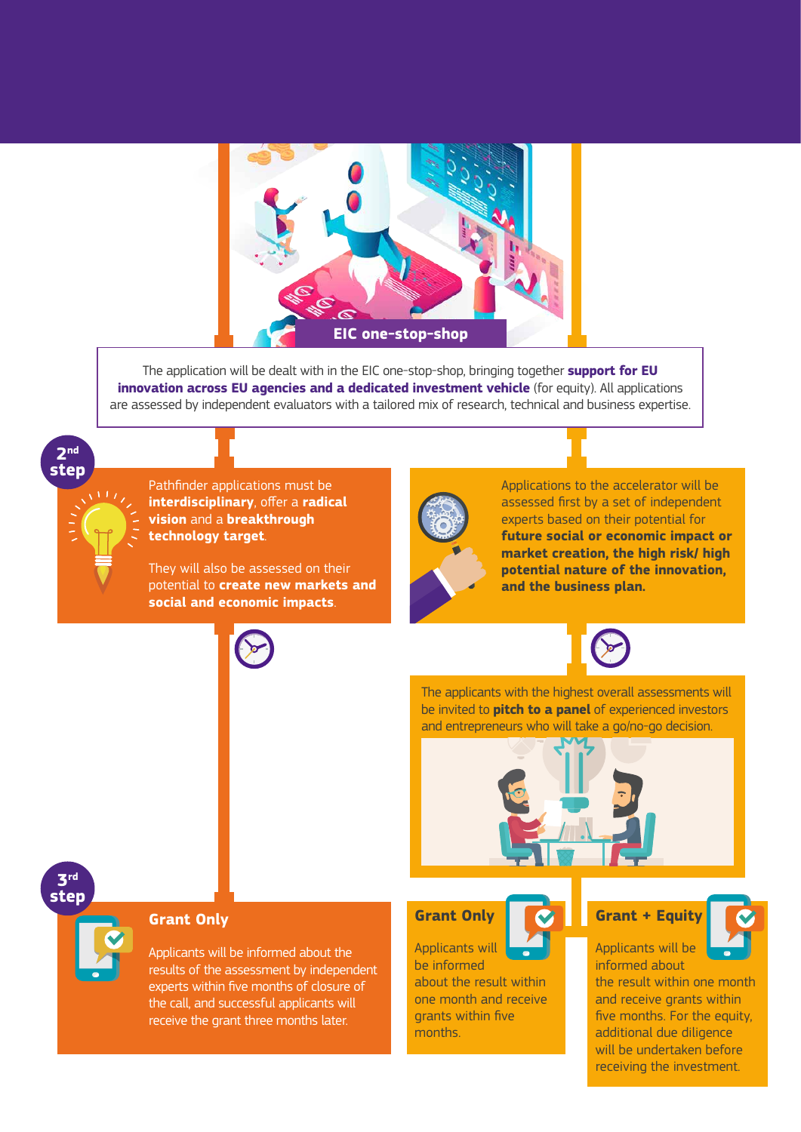

The application will be dealt with in the EIC one-stop-shop, bringing together **support for EU innovation across EU agencies and a dedicated investment vehicle** (for equity). All applications are assessed by independent evaluators with a tailored mix of research, technical and business expertise.



Pathfinder applications must be **interdisciplinary**, offer a **radical vision** and a **breakthrough technology target**.

They will also be assessed on their potential to **create new markets and social and economic impacts**.



Applications to the accelerator will be assessed first by a set of independent experts based on their potential for **future social or economic impact or market creation, the high risk/ high potential nature of the innovation, and the business plan.**



The applicants with the highest overall assessments will be invited to **pitch to a panel** of experienced investors and entrepreneurs who will take a go/no-go decision.



### **3rd step**

### **Grant Only**

Applicants will be informed about the results of the assessment by independent experts within five months of closure of the call, and successful applicants will receive the grant three months later.

### **Grant Only**

Applicants will be informed about the result within one month and receive grants within five months.

### **Grant + Equity**



Applicants will be informed about

the result within one month and receive grants within five months. For the equity, additional due diligence will be undertaken before receiving the investment.